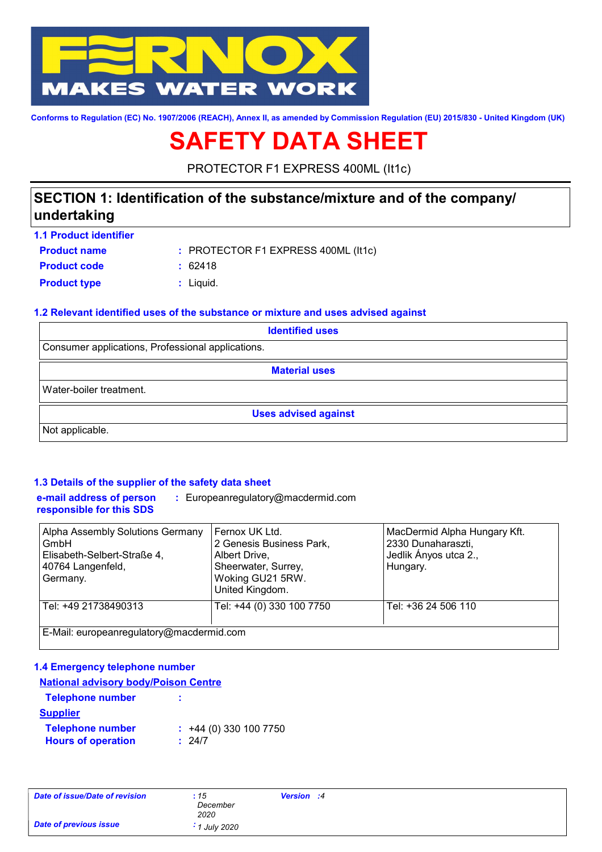

**Conforms to Regulation (EC) No. 1907/2006 (REACH), Annex II, as amended by Commission Regulation (EU) 2015/830 - United Kingdom (UK)**

# **SAFETY DATA SHEET**

PROTECTOR F1 EXPRESS 400ML (It1c)

### **SECTION 1: Identification of the substance/mixture and of the company/ undertaking**

| <b>1.1 Product identifier</b> |                                     |
|-------------------------------|-------------------------------------|
| <b>Product name</b>           | : PROTECTOR F1 EXPRESS 400ML (It1c) |
| <b>Product code</b>           | : 62418                             |
| <b>Product type</b>           | : Liauid.                           |

### **1.2 Relevant identified uses of the substance or mixture and uses advised against**

| <b>Identified uses</b>                            |  |  |
|---------------------------------------------------|--|--|
| Consumer applications, Professional applications. |  |  |
| <b>Material uses</b>                              |  |  |
| Water-boiler treatment.                           |  |  |
| <b>Uses advised against</b>                       |  |  |
| Not applicable.                                   |  |  |

### **1.3 Details of the supplier of the safety data sheet**

**e-mail address of person responsible for this SDS :** Europeanregulatory@macdermid.com

| Alpha Assembly Solutions Germany<br>GmbH<br>Elisabeth-Selbert-Straße 4,<br>40764 Langenfeld,<br>Germany. | Fernox UK Ltd.<br>2 Genesis Business Park,<br>Albert Drive,<br>Sheerwater, Surrey,<br>Woking GU21 5RW.<br>United Kingdom. | MacDermid Alpha Hungary Kft.<br>2330 Dunaharaszti,<br>Jedlik Ányos utca 2.,<br>Hungary. |
|----------------------------------------------------------------------------------------------------------|---------------------------------------------------------------------------------------------------------------------------|-----------------------------------------------------------------------------------------|
| Tel: +49 21738490313                                                                                     | Tel: +44 (0) 330 100 7750                                                                                                 | Tel: +36 24 506 110                                                                     |
| E-Mail: europeanregulatory@macdermid.com                                                                 |                                                                                                                           |                                                                                         |

#### **1.4 Emergency telephone number**

| <b>National advisory body/Poison Centre</b>          |                                       |  |  |  |
|------------------------------------------------------|---------------------------------------|--|--|--|
| <b>Telephone number</b>                              |                                       |  |  |  |
| <b>Supplier</b>                                      |                                       |  |  |  |
| <b>Telephone number</b><br><b>Hours of operation</b> | $\div$ +44 (0) 330 100 7750<br>: 24/7 |  |  |  |

| Date of issue/Date of revision | : 15<br>December<br>2020 | Version :4 |  |
|--------------------------------|--------------------------|------------|--|
| <b>Date of previous issue</b>  | $\cdot$ 1 July 2020      |            |  |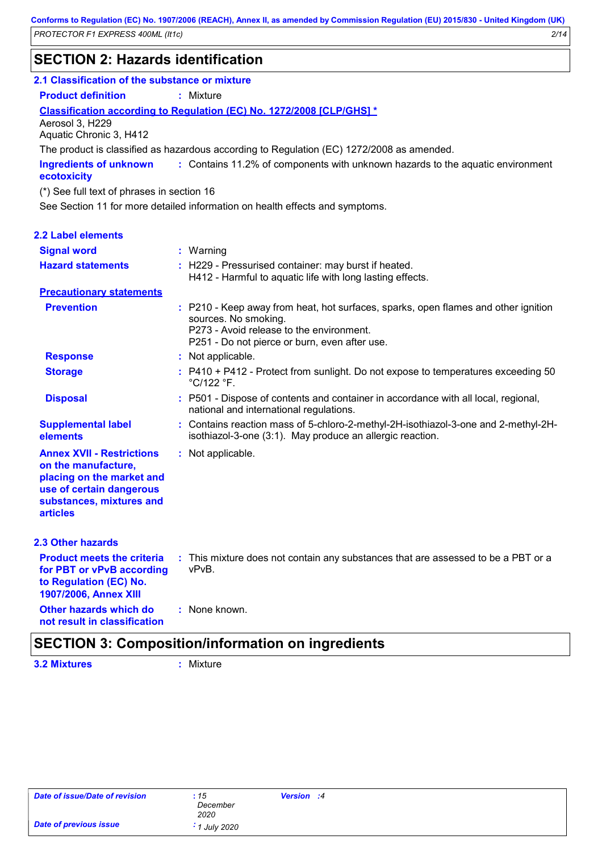### **SECTION 2: Hazards identification**

#### **2.1 Classification of the substance or mixture**

**Product definition :** Mixture

**Classification according to Regulation (EC) No. 1272/2008 [CLP/GHS] \***

Aerosol 3, H229 Aquatic Chronic 3, H412

The product is classified as hazardous according to Regulation (EC) 1272/2008 as amended.

Contains 11.2% of components with unknown hazards to the aquatic environment **: Ingredients of unknown ecotoxicity**

(\*) See full text of phrases in section 16

See Section 11 for more detailed information on health effects and symptoms.

| <b>2.2 Label elements</b>                                                                                                                                       |                                                                                                                                                                                                         |
|-----------------------------------------------------------------------------------------------------------------------------------------------------------------|---------------------------------------------------------------------------------------------------------------------------------------------------------------------------------------------------------|
| <b>Signal word</b>                                                                                                                                              | : Warning                                                                                                                                                                                               |
| <b>Hazard statements</b>                                                                                                                                        | : H229 - Pressurised container: may burst if heated.<br>H412 - Harmful to aquatic life with long lasting effects.                                                                                       |
| <b>Precautionary statements</b>                                                                                                                                 |                                                                                                                                                                                                         |
| <b>Prevention</b>                                                                                                                                               | : P210 - Keep away from heat, hot surfaces, sparks, open flames and other ignition<br>sources. No smoking.<br>P273 - Avoid release to the environment.<br>P251 - Do not pierce or burn, even after use. |
| <b>Response</b>                                                                                                                                                 | : Not applicable.                                                                                                                                                                                       |
| <b>Storage</b>                                                                                                                                                  | : P410 + P412 - Protect from sunlight. Do not expose to temperatures exceeding 50<br>$°C/122 °F$ .                                                                                                      |
| <b>Disposal</b>                                                                                                                                                 | : P501 - Dispose of contents and container in accordance with all local, regional,<br>national and international regulations.                                                                           |
| <b>Supplemental label</b><br>elements                                                                                                                           | : Contains reaction mass of 5-chloro-2-methyl-2H-isothiazol-3-one and 2-methyl-2H-<br>isothiazol-3-one (3:1). May produce an allergic reaction.                                                         |
| <b>Annex XVII - Restrictions</b><br>on the manufacture,<br>placing on the market and<br>use of certain dangerous<br>substances, mixtures and<br><b>articles</b> | : Not applicable.                                                                                                                                                                                       |
| <b>2.3 Other hazards</b>                                                                                                                                        |                                                                                                                                                                                                         |
| <b>Product meets the criteria</b><br>for PBT or vPvB according<br>to Regulation (EC) No.<br>1907/2006, Annex XIII                                               | : This mixture does not contain any substances that are assessed to be a PBT or a<br>vPvB.                                                                                                              |
| Other hazards which do<br>not result in classification                                                                                                          | : None known.                                                                                                                                                                                           |

### **SECTION 3: Composition/information on ingredients**

**3.2 Mixtures :** Mixture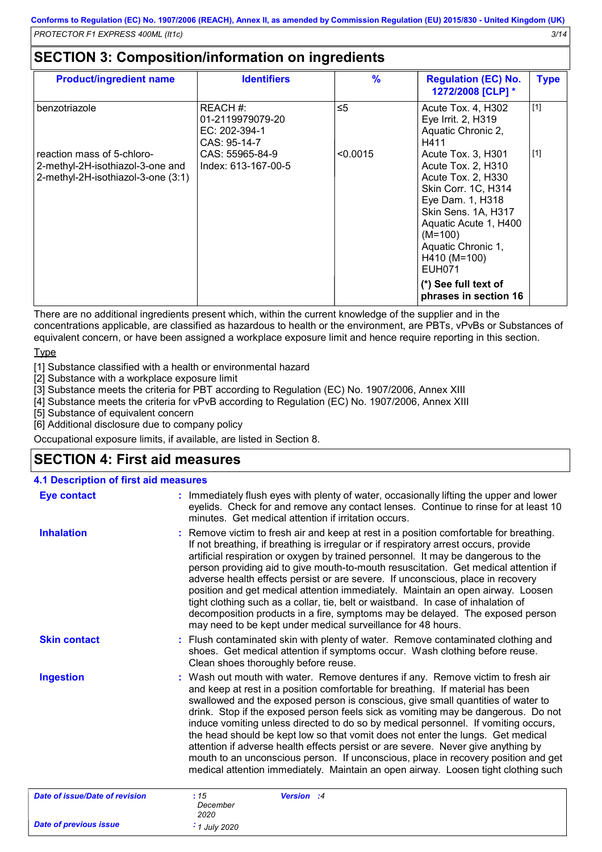### **SECTION 3: Composition/information on ingredients**

| <b>Product/ingredient name</b>                                                                       | <b>Identifiers</b>                                            | $\%$     | <b>Regulation (EC) No.</b><br>1272/2008 [CLP] *                                                                                                                                                                                                                                | <b>Type</b> |
|------------------------------------------------------------------------------------------------------|---------------------------------------------------------------|----------|--------------------------------------------------------------------------------------------------------------------------------------------------------------------------------------------------------------------------------------------------------------------------------|-------------|
| benzotriazole                                                                                        | REACH #:<br>01-2119979079-20<br>EC: 202-394-1<br>CAS: 95-14-7 | $\leq 5$ | Acute Tox. 4, H302<br>Eye Irrit. 2, H319<br>Aquatic Chronic 2,<br>H411                                                                                                                                                                                                         | $[1]$       |
| reaction mass of 5-chloro-<br>2-methyl-2H-isothiazol-3-one and<br>2-methyl-2H-isothiazol-3-one (3:1) | CAS: 55965-84-9<br>Index: 613-167-00-5                        | < 0.0015 | Acute Tox. 3, H301<br>Acute Tox. 2, H310<br>Acute Tox. 2, H330<br>Skin Corr. 1C, H314<br>Eye Dam. 1, H318<br>Skin Sens. 1A, H317<br>Aquatic Acute 1, H400<br>$(M=100)$<br>Aquatic Chronic 1,<br>H410 (M=100)<br><b>EUH071</b><br>(*) See full text of<br>phrases in section 16 | $[1]$       |

There are no additional ingredients present which, within the current knowledge of the supplier and in the concentrations applicable, are classified as hazardous to health or the environment, are PBTs, vPvBs or Substances of equivalent concern, or have been assigned a workplace exposure limit and hence require reporting in this section.

Type

[1] Substance classified with a health or environmental hazard

[2] Substance with a workplace exposure limit

[3] Substance meets the criteria for PBT according to Regulation (EC) No. 1907/2006, Annex XIII

[4] Substance meets the criteria for vPvB according to Regulation (EC) No. 1907/2006, Annex XIII

[5] Substance of equivalent concern

[6] Additional disclosure due to company policy

Occupational exposure limits, if available, are listed in Section 8.

### **SECTION 4: First aid measures**

| <b>4.1 Description of first aid measures</b> |                                                                                                                                                                                                                                                                                                                                                                                                                                                                                                                                                                                                                                                                                                                                                                                      |
|----------------------------------------------|--------------------------------------------------------------------------------------------------------------------------------------------------------------------------------------------------------------------------------------------------------------------------------------------------------------------------------------------------------------------------------------------------------------------------------------------------------------------------------------------------------------------------------------------------------------------------------------------------------------------------------------------------------------------------------------------------------------------------------------------------------------------------------------|
| <b>Eye contact</b>                           | : Immediately flush eyes with plenty of water, occasionally lifting the upper and lower<br>eyelids. Check for and remove any contact lenses. Continue to rinse for at least 10<br>minutes. Get medical attention if irritation occurs.                                                                                                                                                                                                                                                                                                                                                                                                                                                                                                                                               |
| <b>Inhalation</b>                            | : Remove victim to fresh air and keep at rest in a position comfortable for breathing.<br>If not breathing, if breathing is irregular or if respiratory arrest occurs, provide<br>artificial respiration or oxygen by trained personnel. It may be dangerous to the<br>person providing aid to give mouth-to-mouth resuscitation. Get medical attention if<br>adverse health effects persist or are severe. If unconscious, place in recovery<br>position and get medical attention immediately. Maintain an open airway. Loosen<br>tight clothing such as a collar, tie, belt or waistband. In case of inhalation of<br>decomposition products in a fire, symptoms may be delayed. The exposed person<br>may need to be kept under medical surveillance for 48 hours.               |
| <b>Skin contact</b>                          | : Flush contaminated skin with plenty of water. Remove contaminated clothing and<br>shoes. Get medical attention if symptoms occur. Wash clothing before reuse.<br>Clean shoes thoroughly before reuse.                                                                                                                                                                                                                                                                                                                                                                                                                                                                                                                                                                              |
| <b>Ingestion</b>                             | : Wash out mouth with water. Remove dentures if any. Remove victim to fresh air<br>and keep at rest in a position comfortable for breathing. If material has been<br>swallowed and the exposed person is conscious, give small quantities of water to<br>drink. Stop if the exposed person feels sick as vomiting may be dangerous. Do not<br>induce vomiting unless directed to do so by medical personnel. If vomiting occurs,<br>the head should be kept low so that vomit does not enter the lungs. Get medical<br>attention if adverse health effects persist or are severe. Never give anything by<br>mouth to an unconscious person. If unconscious, place in recovery position and get<br>medical attention immediately. Maintain an open airway. Loosen tight clothing such |
| <b>Date of issue/Date of revision</b>        | Version :4<br>: 15<br>December<br>2020                                                                                                                                                                                                                                                                                                                                                                                                                                                                                                                                                                                                                                                                                                                                               |
| <b>Date of previous issue</b>                | $\cdot$ 1 July 2020                                                                                                                                                                                                                                                                                                                                                                                                                                                                                                                                                                                                                                                                                                                                                                  |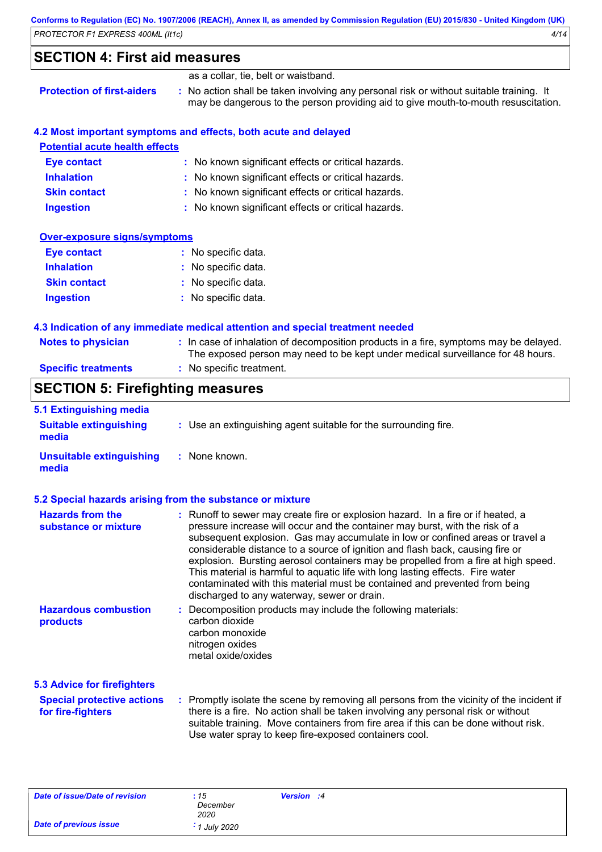| Conforms to Regulation (EC) No. 1907/2006 (REACH), Annex II, as amended by Commission Regulation (EU) 2015/830 - United Kingdom (UK) |      |
|--------------------------------------------------------------------------------------------------------------------------------------|------|
| PROTECTOR F1 EXPRESS 400ML (It1c)                                                                                                    | 4/14 |

## **SECTION 4: First aid measures**

|                                   | as a collar, tie, belt or waistband.                                                                                                                                          |
|-----------------------------------|-------------------------------------------------------------------------------------------------------------------------------------------------------------------------------|
| <b>Protection of first-aiders</b> | : No action shall be taken involving any personal risk or without suitable training. It<br>may be dangerous to the person providing aid to give mouth-to-mouth resuscitation. |

| 4.2 Most important symptoms and effects, both acute and delayed |                                                                                                                                                                          |  |
|-----------------------------------------------------------------|--------------------------------------------------------------------------------------------------------------------------------------------------------------------------|--|
| <b>Potential acute health effects</b>                           |                                                                                                                                                                          |  |
| Eye contact                                                     | : No known significant effects or critical hazards.                                                                                                                      |  |
| <b>Inhalation</b>                                               | : No known significant effects or critical hazards.                                                                                                                      |  |
| <b>Skin contact</b>                                             | : No known significant effects or critical hazards.                                                                                                                      |  |
| <b>Ingestion</b>                                                | : No known significant effects or critical hazards.                                                                                                                      |  |
| <b>Over-exposure signs/symptoms</b>                             |                                                                                                                                                                          |  |
| Eye contact                                                     | : No specific data.                                                                                                                                                      |  |
| <b>Inhalation</b>                                               | : No specific data.                                                                                                                                                      |  |
| <b>Skin contact</b>                                             | : No specific data.                                                                                                                                                      |  |
| Ingestion                                                       | : No specific data.                                                                                                                                                      |  |
|                                                                 | 4.3 Indication of any immediate medical attention and special treatment needed                                                                                           |  |
| <b>Notes to physician</b>                                       | : In case of inhalation of decomposition products in a fire, symptoms may be delayed.<br>The exposed person may need to be kept under medical surveillance for 48 hours. |  |
| <b>Specific treatments</b>                                      | : No specific treatment.                                                                                                                                                 |  |

## **SECTION 5: Firefighting measures**

| 5.1 Extinguishing media<br><b>Suitable extinguishing</b><br>media | : Use an extinguishing agent suitable for the surrounding fire.                                                                                                                                                                                                                                                                                                                                                                                                                                                                                                                                                                         |
|-------------------------------------------------------------------|-----------------------------------------------------------------------------------------------------------------------------------------------------------------------------------------------------------------------------------------------------------------------------------------------------------------------------------------------------------------------------------------------------------------------------------------------------------------------------------------------------------------------------------------------------------------------------------------------------------------------------------------|
| <b>Unsuitable extinguishing</b><br>media                          | : None known.                                                                                                                                                                                                                                                                                                                                                                                                                                                                                                                                                                                                                           |
|                                                                   | 5.2 Special hazards arising from the substance or mixture                                                                                                                                                                                                                                                                                                                                                                                                                                                                                                                                                                               |
| <b>Hazards from the</b><br>substance or mixture                   | : Runoff to sewer may create fire or explosion hazard. In a fire or if heated, a<br>pressure increase will occur and the container may burst, with the risk of a<br>subsequent explosion. Gas may accumulate in low or confined areas or travel a<br>considerable distance to a source of ignition and flash back, causing fire or<br>explosion. Bursting aerosol containers may be propelled from a fire at high speed.<br>This material is harmful to aquatic life with long lasting effects. Fire water<br>contaminated with this material must be contained and prevented from being<br>discharged to any waterway, sewer or drain. |
| <b>Hazardous combustion</b><br>products                           | Decomposition products may include the following materials:<br>carbon dioxide<br>carbon monoxide<br>nitrogen oxides<br>metal oxide/oxides                                                                                                                                                                                                                                                                                                                                                                                                                                                                                               |
| <b>5.3 Advice for firefighters</b>                                |                                                                                                                                                                                                                                                                                                                                                                                                                                                                                                                                                                                                                                         |
| <b>Special protective actions</b><br>for fire-fighters            | : Promptly isolate the scene by removing all persons from the vicinity of the incident if<br>there is a fire. No action shall be taken involving any personal risk or without<br>suitable training. Move containers from fire area if this can be done without risk.<br>Use water spray to keep fire-exposed containers cool.                                                                                                                                                                                                                                                                                                           |

| Date of issue/Date of revision | :15                 | Version :4 |  |
|--------------------------------|---------------------|------------|--|
|                                | December            |            |  |
|                                | 2020                |            |  |
| Date of previous issue         | $\cdot$ 1 July 2020 |            |  |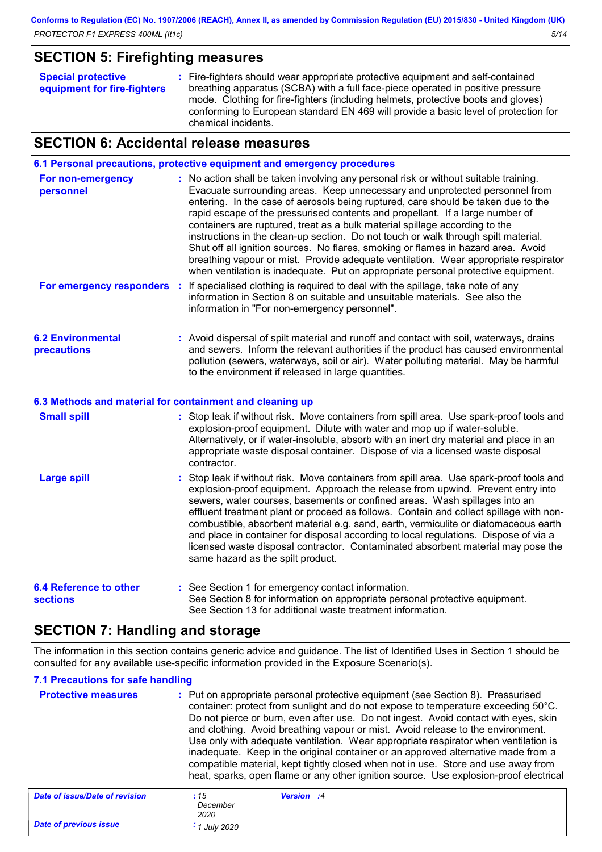### **SECTION 5: Firefighting measures**

|  | <b>Special protective</b><br>equipment for fire-fighters | : Fire-fighters should wear appropriate protective equipment and self-contained<br>breathing apparatus (SCBA) with a full face-piece operated in positive pressure<br>mode. Clothing for fire-fighters (including helmets, protective boots and gloves)<br>conforming to European standard EN 469 will provide a basic level of protection for<br>chemical incidents. |
|--|----------------------------------------------------------|-----------------------------------------------------------------------------------------------------------------------------------------------------------------------------------------------------------------------------------------------------------------------------------------------------------------------------------------------------------------------|
|--|----------------------------------------------------------|-----------------------------------------------------------------------------------------------------------------------------------------------------------------------------------------------------------------------------------------------------------------------------------------------------------------------------------------------------------------------|

### **SECTION 6: Accidental release measures**

**6.1 Personal precautions, protective equipment and emergency procedures**

| For non-emergency<br>personnel          | : No action shall be taken involving any personal risk or without suitable training.<br>Evacuate surrounding areas. Keep unnecessary and unprotected personnel from<br>entering. In the case of aerosols being ruptured, care should be taken due to the<br>rapid escape of the pressurised contents and propellant. If a large number of<br>containers are ruptured, treat as a bulk material spillage according to the<br>instructions in the clean-up section. Do not touch or walk through spilt material.<br>Shut off all ignition sources. No flares, smoking or flames in hazard area. Avoid<br>breathing vapour or mist. Provide adequate ventilation. Wear appropriate respirator<br>when ventilation is inadequate. Put on appropriate personal protective equipment. |
|-----------------------------------------|---------------------------------------------------------------------------------------------------------------------------------------------------------------------------------------------------------------------------------------------------------------------------------------------------------------------------------------------------------------------------------------------------------------------------------------------------------------------------------------------------------------------------------------------------------------------------------------------------------------------------------------------------------------------------------------------------------------------------------------------------------------------------------|
| For emergency responders :              | If specialised clothing is required to deal with the spillage, take note of any<br>information in Section 8 on suitable and unsuitable materials. See also the<br>information in "For non-emergency personnel".                                                                                                                                                                                                                                                                                                                                                                                                                                                                                                                                                                 |
| <b>6.2 Environmental</b><br>precautions | : Avoid dispersal of spilt material and runoff and contact with soil, waterways, drains<br>and sewers. Inform the relevant authorities if the product has caused environmental<br>pollution (sewers, waterways, soil or air). Water polluting material. May be harmful<br>to the environment if released in large quantities.                                                                                                                                                                                                                                                                                                                                                                                                                                                   |
|                                         | 6.3 Methods and material for containment and cleaning up                                                                                                                                                                                                                                                                                                                                                                                                                                                                                                                                                                                                                                                                                                                        |
| <b>Small spill</b>                      | : Stop leak if without risk. Move containers from spill area. Use spark-proof tools and<br>explosion-proof equipment. Dilute with water and mop up if water-soluble.<br>Alternatively, or if water-insoluble, absorb with an inert dry material and place in an<br>appropriate waste disposal container. Dispose of via a licensed waste disposal<br>contractor.                                                                                                                                                                                                                                                                                                                                                                                                                |
| <b>Large spill</b>                      | Stop leak if without risk. Move containers from spill area. Use spark-proof tools and<br>explosion-proof equipment. Approach the release from upwind. Prevent entry into<br>sewers, water courses, basements or confined areas. Wash spillages into an<br>effluent treatment plant or proceed as follows. Contain and collect spillage with non-<br>combustible, absorbent material e.g. sand, earth, vermiculite or diatomaceous earth<br>and place in container for disposal according to local regulations. Dispose of via a<br>licensed waste disposal contractor. Contaminated absorbent material may pose the<br>same hazard as the spilt product.                                                                                                                        |
| 64 Reference to other                   | • See Section 1 for emergency contact information                                                                                                                                                                                                                                                                                                                                                                                                                                                                                                                                                                                                                                                                                                                               |

**6.4 Reference to sections** Tor emergency contact information. See Section 8 for information on appropriate personal protective equipment. See Section 13 for additional waste treatment information. **:**

### **SECTION 7: Handling and storage**

The information in this section contains generic advice and guidance. The list of Identified Uses in Section 1 should be consulted for any available use-specific information provided in the Exposure Scenario(s).

### **7.1 Precautions for safe handling**

| <b>Protective measures</b>     | : Put on appropriate personal protective equipment (see Section 8). Pressurised<br>container: protect from sunlight and do not expose to temperature exceeding 50°C.<br>Do not pierce or burn, even after use. Do not ingest. Avoid contact with eyes, skin<br>and clothing. Avoid breathing vapour or mist. Avoid release to the environment.<br>Use only with adequate ventilation. Wear appropriate respirator when ventilation is<br>inadequate. Keep in the original container or an approved alternative made from a<br>compatible material, kept tightly closed when not in use. Store and use away from<br>heat, sparks, open flame or any other ignition source. Use explosion-proof electrical |
|--------------------------------|----------------------------------------------------------------------------------------------------------------------------------------------------------------------------------------------------------------------------------------------------------------------------------------------------------------------------------------------------------------------------------------------------------------------------------------------------------------------------------------------------------------------------------------------------------------------------------------------------------------------------------------------------------------------------------------------------------|
| Date of issue/Date of revision | Version :4<br>:15<br>December                                                                                                                                                                                                                                                                                                                                                                                                                                                                                                                                                                                                                                                                            |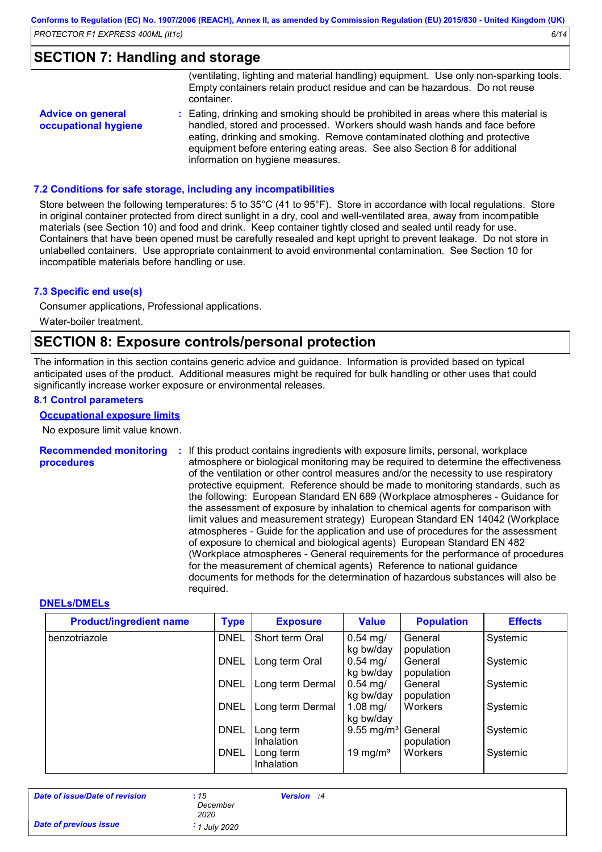### **SECTION 7: Handling and storage**

|                                                  | (ventilating, lighting and material handling) equipment. Use only non-sparking tools.<br>Empty containers retain product residue and can be hazardous. Do not reuse                                                                                                                                                                                           |
|--------------------------------------------------|---------------------------------------------------------------------------------------------------------------------------------------------------------------------------------------------------------------------------------------------------------------------------------------------------------------------------------------------------------------|
|                                                  | container.                                                                                                                                                                                                                                                                                                                                                    |
| <b>Advice on general</b><br>occupational hygiene | : Eating, drinking and smoking should be prohibited in areas where this material is<br>handled, stored and processed. Workers should wash hands and face before<br>eating, drinking and smoking. Remove contaminated clothing and protective<br>equipment before entering eating areas. See also Section 8 for additional<br>information on hygiene measures. |

#### **7.2 Conditions for safe storage, including any incompatibilities**

Store between the following temperatures: 5 to 35°C (41 to 95°F). Store in accordance with local regulations. Store in original container protected from direct sunlight in a dry, cool and well-ventilated area, away from incompatible materials (see Section 10) and food and drink. Keep container tightly closed and sealed until ready for use. Containers that have been opened must be carefully resealed and kept upright to prevent leakage. Do not store in unlabelled containers. Use appropriate containment to avoid environmental contamination. See Section 10 for incompatible materials before handling or use.

#### **7.3 Specific end use(s)**

Consumer applications, Professional applications. Water-boiler treatment.

### **SECTION 8: Exposure controls/personal protection**

The information in this section contains generic advice and guidance. Information is provided based on typical anticipated uses of the product. Additional measures might be required for bulk handling or other uses that could significantly increase worker exposure or environmental releases.

#### **8.1 Control parameters**

#### **Occupational exposure limits**

No exposure limit value known.

**Recommended monitoring procedures :** If this product contains ingredients with exposure limits, personal, workplace atmosphere or biological monitoring may be required to determine the effectiveness of the ventilation or other control measures and/or the necessity to use respiratory protective equipment. Reference should be made to monitoring standards, such as the following: European Standard EN 689 (Workplace atmospheres - Guidance for the assessment of exposure by inhalation to chemical agents for comparison with limit values and measurement strategy) European Standard EN 14042 (Workplace atmospheres - Guide for the application and use of procedures for the assessment of exposure to chemical and biological agents) European Standard EN 482 (Workplace atmospheres - General requirements for the performance of procedures for the measurement of chemical agents) Reference to national guidance documents for methods for the determination of hazardous substances will also be required.

#### **DNELs/DMELs**

| <b>Product/ingredient name</b> | <b>Type</b><br><b>Exposure</b>  |                                              | <b>Value</b>                      | <b>Population</b>     | <b>Effects</b> |
|--------------------------------|---------------------------------|----------------------------------------------|-----------------------------------|-----------------------|----------------|
| benzotriazole                  | <b>DNEL</b><br>Short term Oral  |                                              | $0.54$ mg/<br>kg bw/day           | General<br>population | Systemic       |
|                                | <b>DNEL</b><br>Long term Oral   |                                              | $0.54 \; \text{mg}/$<br>kg bw/day | General<br>population | Systemic       |
|                                | <b>DNEL</b>                     | Long term Dermal                             | $0.54 \; \text{mg}/$<br>kg bw/day | General<br>population | Systemic       |
|                                | <b>DNEL</b><br>Long term Dermal |                                              | 1.08 mg/<br>kg bw/day             | Workers               | Systemic       |
|                                | <b>DNEL</b>                     |                                              | $9.55 \text{ mg/m}^3$             | General<br>population | Systemic       |
|                                | <b>DNEL</b>                     | <b>Inhalation</b><br>Long term<br>Inhalation | 19 mg/m <sup>3</sup>              | Workers               | Systemic       |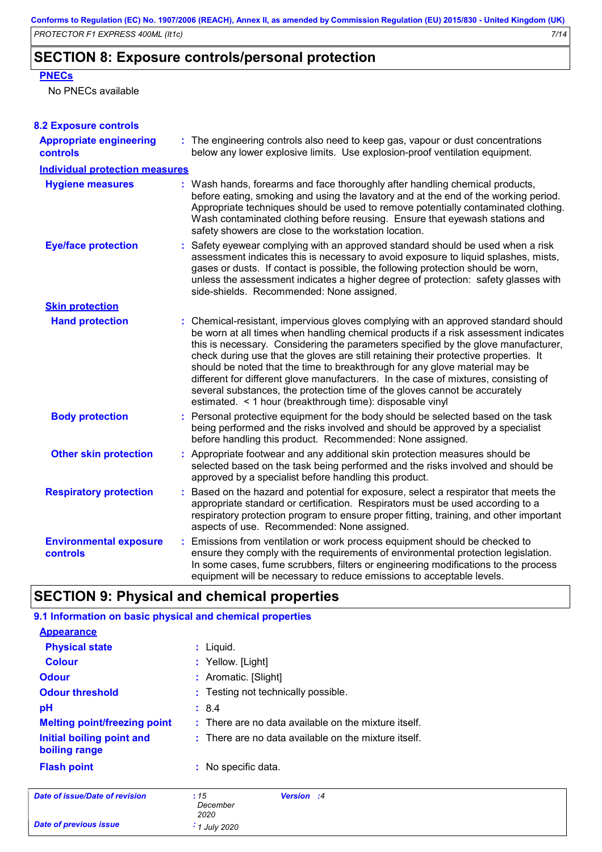### **SECTION 8: Exposure controls/personal protection**

#### **PNECs**

No PNECs available

| <b>8.2 Exposure controls</b>               |                                                                                                                                                                                                                                                                                                                                                                                                                                                                                                                                                                                                                                                                          |
|--------------------------------------------|--------------------------------------------------------------------------------------------------------------------------------------------------------------------------------------------------------------------------------------------------------------------------------------------------------------------------------------------------------------------------------------------------------------------------------------------------------------------------------------------------------------------------------------------------------------------------------------------------------------------------------------------------------------------------|
| <b>Appropriate engineering</b><br>controls | : The engineering controls also need to keep gas, vapour or dust concentrations<br>below any lower explosive limits. Use explosion-proof ventilation equipment.                                                                                                                                                                                                                                                                                                                                                                                                                                                                                                          |
| <b>Individual protection measures</b>      |                                                                                                                                                                                                                                                                                                                                                                                                                                                                                                                                                                                                                                                                          |
| <b>Hygiene measures</b>                    | : Wash hands, forearms and face thoroughly after handling chemical products,<br>before eating, smoking and using the lavatory and at the end of the working period.<br>Appropriate techniques should be used to remove potentially contaminated clothing.<br>Wash contaminated clothing before reusing. Ensure that eyewash stations and<br>safety showers are close to the workstation location.                                                                                                                                                                                                                                                                        |
| <b>Eye/face protection</b>                 | Safety eyewear complying with an approved standard should be used when a risk<br>assessment indicates this is necessary to avoid exposure to liquid splashes, mists,<br>gases or dusts. If contact is possible, the following protection should be worn,<br>unless the assessment indicates a higher degree of protection: safety glasses with<br>side-shields. Recommended: None assigned.                                                                                                                                                                                                                                                                              |
| <b>Skin protection</b>                     |                                                                                                                                                                                                                                                                                                                                                                                                                                                                                                                                                                                                                                                                          |
| <b>Hand protection</b>                     | : Chemical-resistant, impervious gloves complying with an approved standard should<br>be worn at all times when handling chemical products if a risk assessment indicates<br>this is necessary. Considering the parameters specified by the glove manufacturer,<br>check during use that the gloves are still retaining their protective properties. It<br>should be noted that the time to breakthrough for any glove material may be<br>different for different glove manufacturers. In the case of mixtures, consisting of<br>several substances, the protection time of the gloves cannot be accurately<br>estimated. < 1 hour (breakthrough time): disposable vinyl |
| <b>Body protection</b>                     | : Personal protective equipment for the body should be selected based on the task<br>being performed and the risks involved and should be approved by a specialist<br>before handling this product. Recommended: None assigned.                                                                                                                                                                                                                                                                                                                                                                                                                                          |
| <b>Other skin protection</b>               | : Appropriate footwear and any additional skin protection measures should be<br>selected based on the task being performed and the risks involved and should be<br>approved by a specialist before handling this product.                                                                                                                                                                                                                                                                                                                                                                                                                                                |
| <b>Respiratory protection</b>              | : Based on the hazard and potential for exposure, select a respirator that meets the<br>appropriate standard or certification. Respirators must be used according to a<br>respiratory protection program to ensure proper fitting, training, and other important<br>aspects of use. Recommended: None assigned.                                                                                                                                                                                                                                                                                                                                                          |
| <b>Environmental exposure</b><br>controls  | : Emissions from ventilation or work process equipment should be checked to<br>ensure they comply with the requirements of environmental protection legislation.<br>In some cases, fume scrubbers, filters or engineering modifications to the process<br>equipment will be necessary to reduce emissions to acceptable levels.                                                                                                                                                                                                                                                                                                                                          |

## **SECTION 9: Physical and chemical properties**

*Date of previous issue : 1 July 2020*

| 9.1 Information on basic physical and chemical properties |                                                                 |  |  |  |  |  |
|-----------------------------------------------------------|-----------------------------------------------------------------|--|--|--|--|--|
| <b>Appearance</b>                                         |                                                                 |  |  |  |  |  |
| <b>Physical state</b>                                     | $:$ Liquid.                                                     |  |  |  |  |  |
| <b>Colour</b>                                             | : Yellow. [Light]                                               |  |  |  |  |  |
| <b>Odour</b>                                              | : Aromatic. [Slight]                                            |  |  |  |  |  |
| <b>Odour threshold</b>                                    | : Testing not technically possible.                             |  |  |  |  |  |
| рH                                                        | : 8.4                                                           |  |  |  |  |  |
| <b>Melting point/freezing point</b>                       | : There are no data available on the mixture itself.            |  |  |  |  |  |
| Initial boiling point and<br>boiling range                | $\therefore$ There are no data available on the mixture itself. |  |  |  |  |  |
| <b>Flash point</b>                                        | : No specific data.                                             |  |  |  |  |  |
| Date of issue/Date of revision                            | :15<br>Version :4<br>December<br>2020                           |  |  |  |  |  |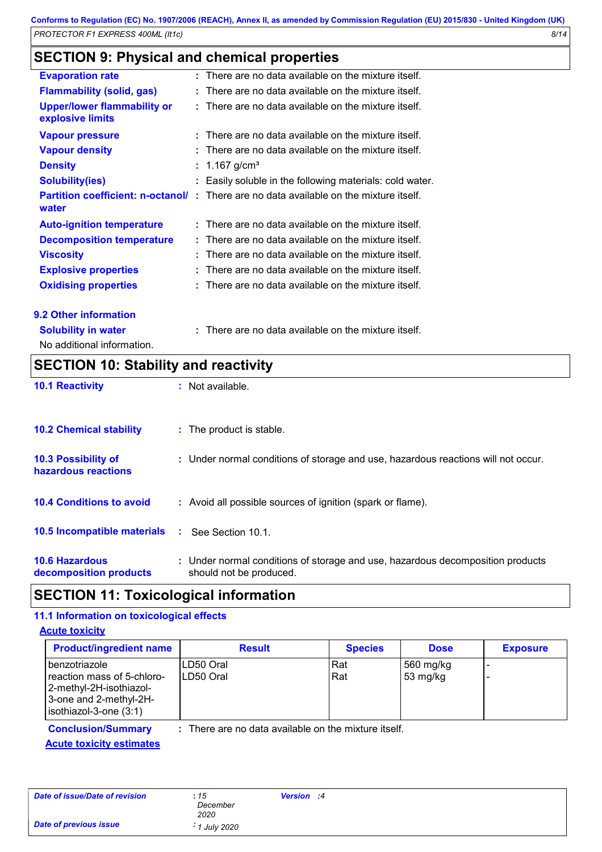## **SECTION 9: Physical and chemical properties**

| <b>Evaporation rate</b>                                | $:$ There are no data available on the mixture itself.                                       |
|--------------------------------------------------------|----------------------------------------------------------------------------------------------|
| <b>Flammability (solid, gas)</b>                       | There are no data available on the mixture itself.                                           |
| <b>Upper/lower flammability or</b><br>explosive limits | $:$ There are no data available on the mixture itself.                                       |
| <b>Vapour pressure</b>                                 | $:$ There are no data available on the mixture itself.                                       |
| <b>Vapour density</b>                                  | $:$ There are no data available on the mixture itself.                                       |
| <b>Density</b>                                         | : $1.167$ g/cm <sup>3</sup>                                                                  |
| <b>Solubility(ies)</b>                                 | Easily soluble in the following materials: cold water.                                       |
| water                                                  | <b>Partition coefficient: n-octanol/:</b> There are no data available on the mixture itself. |
| <b>Auto-ignition temperature</b>                       | $:$ There are no data available on the mixture itself.                                       |
| <b>Decomposition temperature</b>                       | $:$ There are no data available on the mixture itself.                                       |
| <b>Viscosity</b>                                       | $:$ There are no data available on the mixture itself.                                       |
| <b>Explosive properties</b>                            | There are no data available on the mixture itself.                                           |
| <b>Oxidising properties</b>                            | $:$ There are no data available on the mixture itself.                                       |
| 9.2 Other information                                  |                                                                                              |

**Solubility in water :** There are no data available on the mixture itself.

No additional information.

## **SECTION 10: Stability and reactivity**

| <b>10.1 Reactivity</b>                            |    | : Not available.                                                                                          |
|---------------------------------------------------|----|-----------------------------------------------------------------------------------------------------------|
| <b>10.2 Chemical stability</b>                    |    | : The product is stable.                                                                                  |
| <b>10.3 Possibility of</b><br>hazardous reactions |    | : Under normal conditions of storage and use, hazardous reactions will not occur.                         |
| <b>10.4 Conditions to avoid</b>                   |    | : Avoid all possible sources of ignition (spark or flame).                                                |
| <b>10.5 Incompatible materials</b>                | п. | See Section 10.1.                                                                                         |
| <b>10.6 Hazardous</b><br>decomposition products   |    | : Under normal conditions of storage and use, hazardous decomposition products<br>should not be produced. |

### **SECTION 11: Toxicological information**

### **11.1 Information on toxicological effects**

#### **Acute toxicity**

| <b>Product/ingredient name</b>                                                                                                      | <b>Result</b>                                        | <b>Species</b> | <b>Dose</b>           | <b>Exposure</b> |
|-------------------------------------------------------------------------------------------------------------------------------------|------------------------------------------------------|----------------|-----------------------|-----------------|
| <u>l</u> benzotriazole<br>reaction mass of 5-chloro-<br>2-methyl-2H-isothiazol-<br>3-one and 2-methyl-2H-<br>isothiazol-3-one (3:1) | ILD50 Oral<br>ILD50 Oral                             | Rat<br>Rat     | 560 mg/kg<br>53 mg/kg |                 |
| <b>Conclusion/Summary</b>                                                                                                           | : There are no data available on the mixture itself. |                |                       |                 |

**Acute toxicity estimates**

| Date of issue/Date of revision | : 15<br>December<br>2020 | Version :4 |  |
|--------------------------------|--------------------------|------------|--|
| <b>Date of previous issue</b>  | $\cdot$ 1 July 2020      |            |  |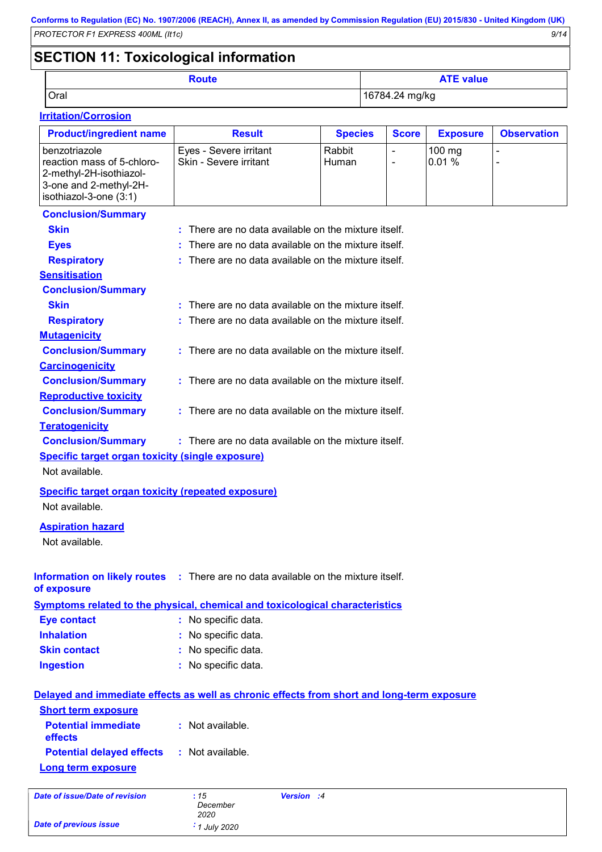## **SECTION 11: Toxicological information**

*Date of previous issue : 1 July 2020*

| Route | <b>ATE value</b> |
|-------|------------------|
| Oral  | 16784.24 mg/kg   |

### **Irritation/Corrosion**

| <b>Product/ingredient name</b>                                                                   | <b>Result</b>                                                                              | <b>Species</b>  | <b>Score</b> | <b>Exposure</b> | <b>Observation</b> |
|--------------------------------------------------------------------------------------------------|--------------------------------------------------------------------------------------------|-----------------|--------------|-----------------|--------------------|
| benzotriazole<br>reaction mass of 5-chloro-<br>2-methyl-2H-isothiazol-<br>3-one and 2-methyl-2H- | Eyes - Severe irritant<br>Skin - Severe irritant                                           | Rabbit<br>Human | ÷,           | 100 mg<br>0.01% |                    |
| isothiazol-3-one (3:1)                                                                           |                                                                                            |                 |              |                 |                    |
| <b>Conclusion/Summary</b>                                                                        |                                                                                            |                 |              |                 |                    |
| <b>Skin</b>                                                                                      | : There are no data available on the mixture itself.                                       |                 |              |                 |                    |
| <b>Eyes</b>                                                                                      | There are no data available on the mixture itself.                                         |                 |              |                 |                    |
| : There are no data available on the mixture itself.<br><b>Respiratory</b>                       |                                                                                            |                 |              |                 |                    |
| <b>Sensitisation</b>                                                                             |                                                                                            |                 |              |                 |                    |
| <b>Conclusion/Summary</b>                                                                        |                                                                                            |                 |              |                 |                    |
| <b>Skin</b>                                                                                      | : There are no data available on the mixture itself.                                       |                 |              |                 |                    |
| <b>Respiratory</b>                                                                               | : There are no data available on the mixture itself.                                       |                 |              |                 |                    |
| <b>Mutagenicity</b>                                                                              |                                                                                            |                 |              |                 |                    |
| <b>Conclusion/Summary</b>                                                                        | : There are no data available on the mixture itself.                                       |                 |              |                 |                    |
| <b>Carcinogenicity</b>                                                                           |                                                                                            |                 |              |                 |                    |
| <b>Conclusion/Summary</b>                                                                        | : There are no data available on the mixture itself.                                       |                 |              |                 |                    |
| <b>Reproductive toxicity</b>                                                                     |                                                                                            |                 |              |                 |                    |
| <b>Conclusion/Summary</b>                                                                        | : There are no data available on the mixture itself.                                       |                 |              |                 |                    |
| <b>Teratogenicity</b>                                                                            |                                                                                            |                 |              |                 |                    |
| <b>Conclusion/Summary</b>                                                                        | : There are no data available on the mixture itself.                                       |                 |              |                 |                    |
| <b>Specific target organ toxicity (single exposure)</b>                                          |                                                                                            |                 |              |                 |                    |
| Not available.                                                                                   |                                                                                            |                 |              |                 |                    |
| <b>Specific target organ toxicity (repeated exposure)</b>                                        |                                                                                            |                 |              |                 |                    |
| Not available.                                                                                   |                                                                                            |                 |              |                 |                    |
|                                                                                                  |                                                                                            |                 |              |                 |                    |
| <b>Aspiration hazard</b>                                                                         |                                                                                            |                 |              |                 |                    |
| Not available.                                                                                   |                                                                                            |                 |              |                 |                    |
|                                                                                                  | Information on likely routes : There are no data available on the mixture itself.          |                 |              |                 |                    |
| of exposure                                                                                      |                                                                                            |                 |              |                 |                    |
|                                                                                                  | Symptoms related to the physical, chemical and toxicological characteristics               |                 |              |                 |                    |
| <b>Eye contact</b>                                                                               | : No specific data.                                                                        |                 |              |                 |                    |
| <b>Inhalation</b>                                                                                | : No specific data.                                                                        |                 |              |                 |                    |
| <b>Skin contact</b>                                                                              | : No specific data.                                                                        |                 |              |                 |                    |
| <b>Ingestion</b>                                                                                 | : No specific data.                                                                        |                 |              |                 |                    |
|                                                                                                  | Delayed and immediate effects as well as chronic effects from short and long-term exposure |                 |              |                 |                    |
| <b>Short term exposure</b>                                                                       |                                                                                            |                 |              |                 |                    |
| <b>Potential immediate</b><br>effects                                                            | : Not available.                                                                           |                 |              |                 |                    |
| <b>Potential delayed effects</b>                                                                 | : Not available.                                                                           |                 |              |                 |                    |
| <b>Long term exposure</b>                                                                        |                                                                                            |                 |              |                 |                    |
| <b>Date of issue/Date of revision</b>                                                            | :15<br>Version :4<br>December<br>2020                                                      |                 |              |                 |                    |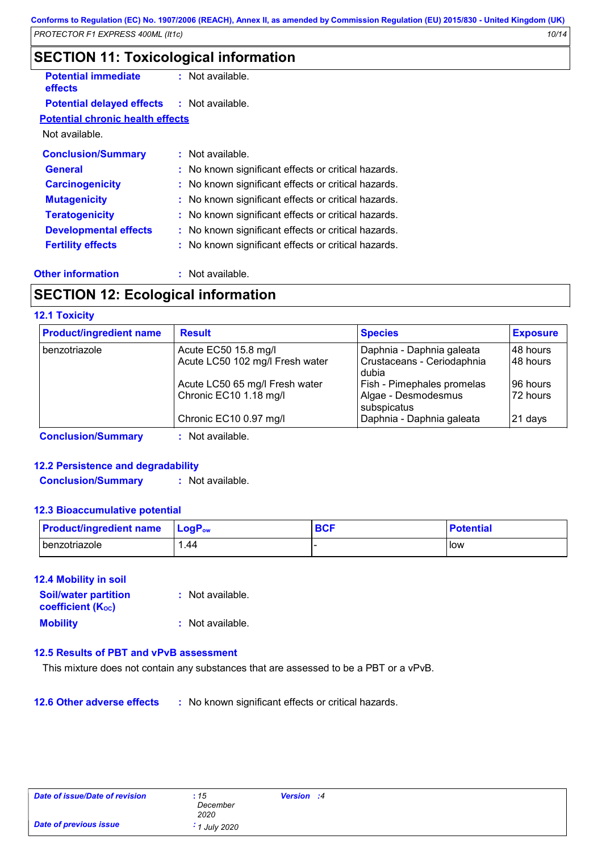### **SECTION 11: Toxicological information**

| <b>Potential immediate</b><br>effects             | : Not available.                                    |
|---------------------------------------------------|-----------------------------------------------------|
| <b>Potential delayed effects : Not available.</b> |                                                     |
| <b>Potential chronic health effects</b>           |                                                     |
| Not available.                                    |                                                     |
| <b>Conclusion/Summary</b>                         | : Not available.                                    |
| <b>General</b>                                    | : No known significant effects or critical hazards. |
| <b>Carcinogenicity</b>                            | : No known significant effects or critical hazards. |
| <b>Mutagenicity</b>                               | : No known significant effects or critical hazards. |
| <b>Teratogenicity</b>                             | : No known significant effects or critical hazards. |
| <b>Developmental effects</b>                      | : No known significant effects or critical hazards. |
| <b>Fertility effects</b>                          | : No known significant effects or critical hazards. |

#### **Other information :**

: Not available.

### **SECTION 12: Ecological information**

#### **12.1 Toxicity**

| <b>Product/ingredient name</b> | <b>Result</b>                                            | <b>Species</b>                                                   | <b>Exposure</b>         |
|--------------------------------|----------------------------------------------------------|------------------------------------------------------------------|-------------------------|
| benzotriazole                  | Acute EC50 15.8 mg/l<br>Acute LC50 102 mg/l Fresh water  | Daphnia - Daphnia galeata<br>Crustaceans - Ceriodaphnia<br>dubia | 148 hours<br>l 48 hours |
|                                | Acute LC50 65 mg/l Fresh water<br>Chronic EC10 1.18 mg/l | Fish - Pimephales promelas<br>Algae - Desmodesmus<br>subspicatus | 96 hours<br>72 hours    |
|                                | Chronic EC10 0.97 mg/l                                   | Daphnia - Daphnia galeata                                        | 21 days                 |
| <b>Conclusion/Summary</b>      | Not available.                                           |                                                                  |                         |

### **12.2 Persistence and degradability**

**Conclusion/Summary :** Not available.

#### **12.3 Bioaccumulative potential**

| <b>Product/ingredient name</b> | $ $ LogP <sub>ow</sub> | <b>BCF</b> | <b>Potential</b> |
|--------------------------------|------------------------|------------|------------------|
| I benzotriazole                | 44. ا                  |            | l Iow            |

#### **12.4 Mobility in soil**

| <b>Soil/water partition</b><br><b>coefficient (Koc)</b> | : Not available. |
|---------------------------------------------------------|------------------|
| <b>Mobility</b>                                         | : Not available. |

#### **12.5 Results of PBT and vPvB assessment**

This mixture does not contain any substances that are assessed to be a PBT or a vPvB.

**12.6 Other adverse effects :** No known significant effects or critical hazards.

| Date of issue/Date of revision | :15<br>December<br>2020 | Version :4 |  |
|--------------------------------|-------------------------|------------|--|
| <b>Date of previous issue</b>  | 1 July 2020             |            |  |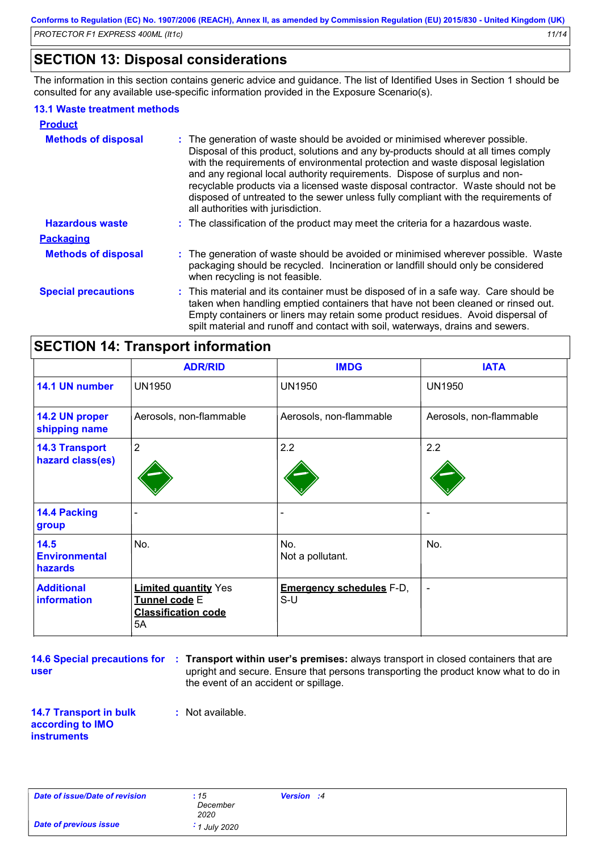### **SECTION 13: Disposal considerations**

The information in this section contains generic advice and guidance. The list of Identified Uses in Section 1 should be consulted for any available use-specific information provided in the Exposure Scenario(s).

#### **13.1 Waste treatment methods**

| <b>Product</b>             |                                                                                                                                                                                                                                                                                                                                                                                                                                                                                                                                                      |
|----------------------------|------------------------------------------------------------------------------------------------------------------------------------------------------------------------------------------------------------------------------------------------------------------------------------------------------------------------------------------------------------------------------------------------------------------------------------------------------------------------------------------------------------------------------------------------------|
| <b>Methods of disposal</b> | : The generation of waste should be avoided or minimised wherever possible.<br>Disposal of this product, solutions and any by-products should at all times comply<br>with the requirements of environmental protection and waste disposal legislation<br>and any regional local authority requirements. Dispose of surplus and non-<br>recyclable products via a licensed waste disposal contractor. Waste should not be<br>disposed of untreated to the sewer unless fully compliant with the requirements of<br>all authorities with jurisdiction. |
| <b>Hazardous waste</b>     | : The classification of the product may meet the criteria for a hazardous waste.                                                                                                                                                                                                                                                                                                                                                                                                                                                                     |
| <b>Packaging</b>           |                                                                                                                                                                                                                                                                                                                                                                                                                                                                                                                                                      |
| <b>Methods of disposal</b> | : The generation of waste should be avoided or minimised wherever possible. Waste<br>packaging should be recycled. Incineration or landfill should only be considered<br>when recycling is not feasible.                                                                                                                                                                                                                                                                                                                                             |
| <b>Special precautions</b> | : This material and its container must be disposed of in a safe way. Care should be<br>taken when handling emptied containers that have not been cleaned or rinsed out.<br>Empty containers or liners may retain some product residues. Avoid dispersal of<br>spilt material and runoff and contact with soil, waterways, drains and sewers.                                                                                                                                                                                                         |

### **SECTION 14: Transport information**

|                                                | <b>ADR/RID</b>                                                                   | <b>IMDG</b>                              | <b>IATA</b>             |
|------------------------------------------------|----------------------------------------------------------------------------------|------------------------------------------|-------------------------|
| 14.1 UN number                                 | <b>UN1950</b>                                                                    | <b>UN1950</b>                            | <b>UN1950</b>           |
| 14.2 UN proper<br>shipping name                | Aerosols, non-flammable                                                          | Aerosols, non-flammable                  | Aerosols, non-flammable |
| <b>14.3 Transport</b><br>hazard class(es)      | $\overline{2}$                                                                   | 2.2                                      | 2.2                     |
| <b>14.4 Packing</b><br>group                   |                                                                                  |                                          |                         |
| 14.5<br><b>Environmental</b><br><b>hazards</b> | No.                                                                              | No.<br>Not a pollutant.                  | No.                     |
| <b>Additional</b><br>information               | <b>Limited quantity Yes</b><br>Tunnel code E<br><b>Classification code</b><br>5A | <b>Emergency schedules F-D,</b><br>$S-U$ | $\blacksquare$          |

**14.6 Special precautions for user**

**Transport within user's premises:** always transport in closed containers that are **:** upright and secure. Ensure that persons transporting the product know what to do in the event of an accident or spillage.

**14.7 Transport in bulk according to IMO instruments**

: Not available.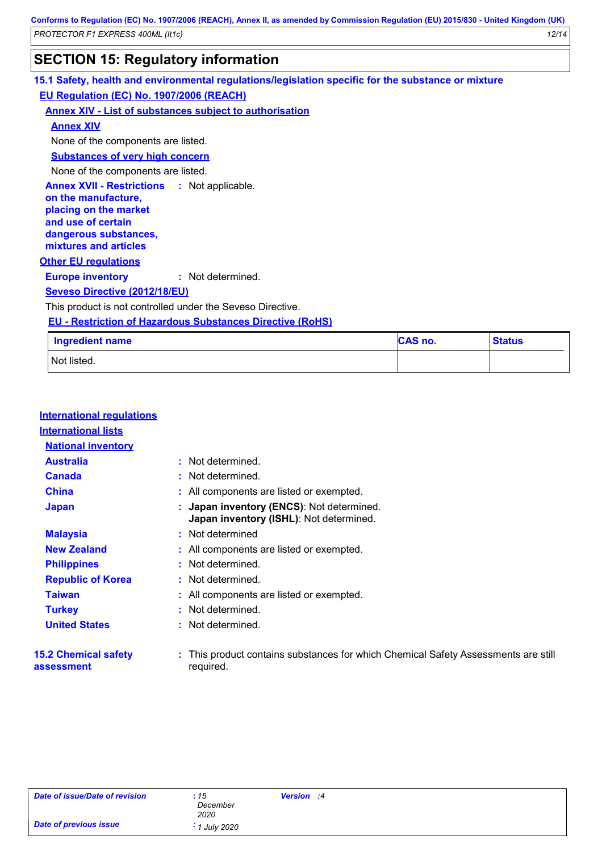### **SECTION 15: Regulatory information**

### **Other EU regulations Annex XVII - Restrictions on the manufacture, placing on the market and use of certain dangerous substances, mixtures and articles** : Not applicable. **Europe inventory :** Not determined. **15.1 Safety, health and environmental regulations/legislation specific for the substance or mixture EU Regulation (EC) No. 1907/2006 (REACH) Annex XIV - List of substances subject to authorisation Substances of very high concern** None of the components are listed. **Seveso Directive (2012/18/EU)** This product is not controlled under the Seveso Directive. **Annex XIV** None of the components are listed. **Ingredient name** Not listed. **EU - Restriction of Hazardous Substances Directive (RoHS) CAS no. Status**

| <b>International regulations</b>          |                                                                                               |
|-------------------------------------------|-----------------------------------------------------------------------------------------------|
| <b>International lists</b>                |                                                                                               |
| <b>National inventory</b>                 |                                                                                               |
| <b>Australia</b>                          | : Not determined.                                                                             |
| <b>Canada</b>                             | : Not determined.                                                                             |
| <b>China</b>                              | : All components are listed or exempted.                                                      |
| <b>Japan</b>                              | : Japan inventory (ENCS): Not determined.<br><b>Japan inventory (ISHL)</b> : Not determined.  |
| <b>Malaysia</b>                           | : Not determined                                                                              |
| <b>New Zealand</b>                        | : All components are listed or exempted.                                                      |
| <b>Philippines</b>                        | : Not determined.                                                                             |
| <b>Republic of Korea</b>                  | : Not determined.                                                                             |
| <b>Taiwan</b>                             | : All components are listed or exempted.                                                      |
| <b>Turkey</b>                             | : Not determined.                                                                             |
| <b>United States</b>                      | : Not determined.                                                                             |
| <b>15.2 Chemical safety</b><br>assessment | This product contains substances for which Chemical Safety Assessments are still<br>required. |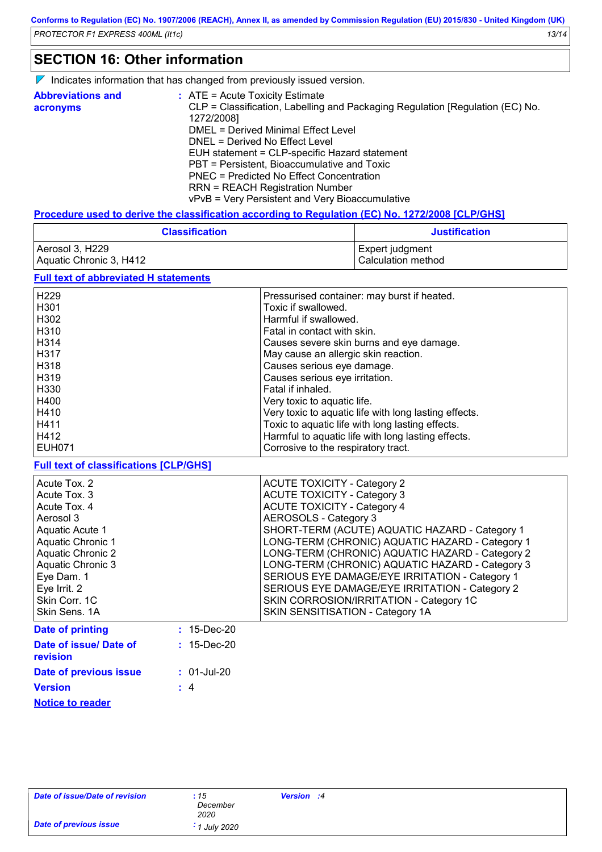### **SECTION 16: Other information**

 $\nabla$  Indicates information that has changed from previously issued version.

| <b>Abbreviations and</b> | $\therefore$ ATE = Acute Toxicity Estimate                                    |
|--------------------------|-------------------------------------------------------------------------------|
| acronyms                 | CLP = Classification, Labelling and Packaging Regulation [Regulation (EC) No. |
|                          | 1272/2008]                                                                    |
|                          | DMEL = Derived Minimal Effect Level                                           |
|                          | DNEL = Derived No Effect Level                                                |
|                          | EUH statement = CLP-specific Hazard statement                                 |
|                          | PBT = Persistent, Bioaccumulative and Toxic                                   |
|                          | PNEC = Predicted No Effect Concentration                                      |
|                          | <b>RRN = REACH Registration Number</b>                                        |
|                          | vPvB = Very Persistent and Very Bioaccumulative                               |

#### **Procedure used to derive the classification according to Regulation (EC) No. 1272/2008 [CLP/GHS]**

| <b>Classification</b>   | <b>Justification</b> |
|-------------------------|----------------------|
| Aerosol 3, H229         | Expert judgment_     |
| Aquatic Chronic 3, H412 | l Calculation method |

### **Full text of abbreviated H statements**

| H <sub>229</sub> | Pressurised container: may burst if heated.           |
|------------------|-------------------------------------------------------|
| H <sub>301</sub> | Toxic if swallowed.                                   |
| H <sub>302</sub> | Harmful if swallowed.                                 |
| H <sub>310</sub> | Fatal in contact with skin.                           |
| H314             | Causes severe skin burns and eye damage.              |
| H317             | May cause an allergic skin reaction.                  |
| H318             | Causes serious eye damage.                            |
| H319             | Causes serious eye irritation.                        |
| H330             | Fatal if inhaled.                                     |
| H400             | Very toxic to aquatic life.                           |
| H410             | Very toxic to aquatic life with long lasting effects. |
| H411             | Toxic to aquatic life with long lasting effects.      |
| H412             | Harmful to aquatic life with long lasting effects.    |
| <b>EUH071</b>    | Corrosive to the respiratory tract.                   |

#### **Full text of classifications [CLP/GHS]**

| Acute Tox. 2                              |                   | <b>ACUTE TOXICITY - Category 2</b>              |
|-------------------------------------------|-------------------|-------------------------------------------------|
| Acute Tox, 3                              |                   | <b>ACUTE TOXICITY - Category 3</b>              |
| Acute Tox, 4                              |                   | <b>ACUTE TOXICITY - Category 4</b>              |
| Aerosol 3                                 |                   | AEROSOLS - Category 3                           |
| Aquatic Acute 1                           |                   | SHORT-TERM (ACUTE) AQUATIC HAZARD - Category 1  |
| Aquatic Chronic 1                         |                   | LONG-TERM (CHRONIC) AQUATIC HAZARD - Category 1 |
| <b>Aquatic Chronic 2</b>                  |                   | LONG-TERM (CHRONIC) AQUATIC HAZARD - Category 2 |
| Aquatic Chronic 3                         |                   | LONG-TERM (CHRONIC) AQUATIC HAZARD - Category 3 |
| Eye Dam. 1                                |                   | SERIOUS EYE DAMAGE/EYE IRRITATION - Category 1  |
| Eye Irrit. 2                              |                   | SERIOUS EYE DAMAGE/EYE IRRITATION - Category 2  |
| Skin Corr. 1C                             |                   | SKIN CORROSION/IRRITATION - Category 1C         |
| Skin Sens. 1A                             |                   | SKIN SENSITISATION - Category 1A                |
| Date of printing                          | $: 15 - Dec - 20$ |                                                 |
| Date of issue/ Date of<br><b>revision</b> | $: 15$ -Dec-20    |                                                 |
| Date of previous issue                    | $: 01$ -Jul-20    |                                                 |

**Version**

**Notice to reader**

**:** 4